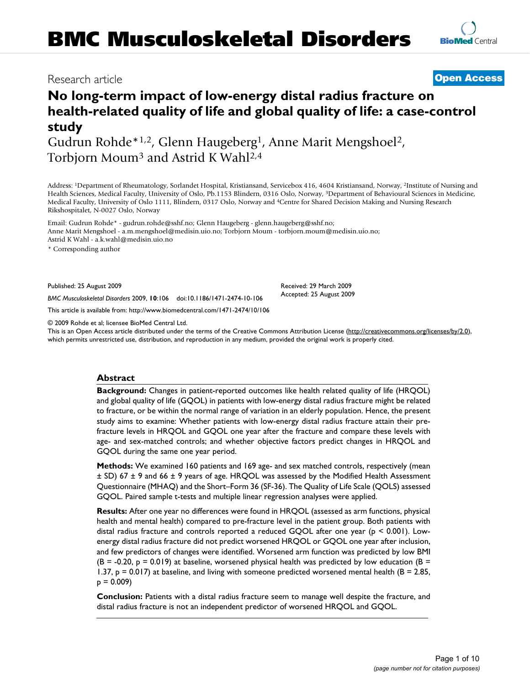# **No long-term impact of low-energy distal radius fracture on health-related quality of life and global quality of life: a case-control study**

Gudrun Rohde\*1,2, Glenn Haugeberg1, Anne Marit Mengshoel2, Torbjorn Moum3 and Astrid K Wahl2,4

Address: 1Department of Rheumatology, Sorlandet Hospital, Kristiansand, Servicebox 416, 4604 Kristiansand, Norway, 2Institute of Nursing and Health Sciences, Medical Faculty, University of Oslo, Pb.1153 Blindern, 0316 Oslo, Norway, 3Department of Behavioural Sciences in Medicine, Medical Faculty, University of Oslo 1111, Blindern, 0317 Oslo, Norway and 4Centre for Shared Decision Making and Nursing Research Rikshospitalet, N-0027 Oslo, Norway

Email: Gudrun Rohde\* - gudrun.rohde@sshf.no; Glenn Haugeberg - glenn.haugeberg@sshf.no; Anne Marit Mengshoel - a.m.mengshoel@medisin.uio.no; Torbjorn Moum - torbjorn.moum@medisin.uio.no; Astrid K Wahl - a.k.wahl@medisin.uio.no

\* Corresponding author

Published: 25 August 2009

*BMC Musculoskeletal Disorders* 2009, **10**:106 doi:10.1186/1471-2474-10-106

[This article is available from: http://www.biomedcentral.com/1471-2474/10/106](http://www.biomedcentral.com/1471-2474/10/106)

© 2009 Rohde et al; licensee BioMed Central Ltd.

This is an Open Access article distributed under the terms of the Creative Commons Attribution License [\(http://creativecommons.org/licenses/by/2.0\)](http://creativecommons.org/licenses/by/2.0), which permits unrestricted use, distribution, and reproduction in any medium, provided the original work is properly cited.

#### **Abstract**

**Background:** Changes in patient-reported outcomes like health related quality of life (HRQOL) and global quality of life (GQOL) in patients with low-energy distal radius fracture might be related to fracture, or be within the normal range of variation in an elderly population. Hence, the present study aims to examine: Whether patients with low-energy distal radius fracture attain their prefracture levels in HRQOL and GQOL one year after the fracture and compare these levels with age- and sex-matched controls; and whether objective factors predict changes in HRQOL and GQOL during the same one year period.

**Methods:** We examined 160 patients and 169 age- and sex matched controls, respectively (mean ± SD) 67 ± 9 and 66 ± 9 years of age. HRQOL was assessed by the Modified Health Assessment Questionnaire (MHAQ) and the Short–Form 36 (SF-36). The Quality of Life Scale (QOLS) assessed GQOL. Paired sample t-tests and multiple linear regression analyses were applied.

**Results:** After one year no differences were found in HRQOL (assessed as arm functions, physical health and mental health) compared to pre-fracture level in the patient group. Both patients with distal radius fracture and controls reported a reduced GQOL after one year (p < 0.001). Lowenergy distal radius fracture did not predict worsened HRQOL or GQOL one year after inclusion, and few predictors of changes were identified. Worsened arm function was predicted by low BMI  $(B = -0.20, p = 0.019)$  at baseline, worsened physical health was predicted by low education  $(B = 1.019)$ 1.37, p = 0.017) at baseline, and living with someone predicted worsened mental health (B = 2.85,  $p = 0.009$ 

**Conclusion:** Patients with a distal radius fracture seem to manage well despite the fracture, and distal radius fracture is not an independent predictor of worsened HRQOL and GQOL.

Received: 29 March 2009 Accepted: 25 August 2009

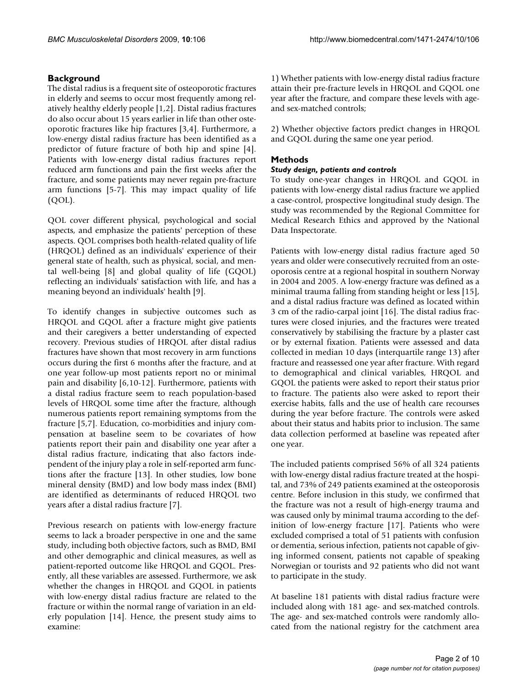# **Background**

The distal radius is a frequent site of osteoporotic fractures in elderly and seems to occur most frequently among relatively healthy elderly people [1,2]. Distal radius fractures do also occur about 15 years earlier in life than other osteoporotic fractures like hip fractures [3,4]. Furthermore, a low-energy distal radius fracture has been identified as a predictor of future fracture of both hip and spine [4]. Patients with low-energy distal radius fractures report reduced arm functions and pain the first weeks after the fracture, and some patients may never regain pre-fracture arm functions [5-7]. This may impact quality of life (QOL).

QOL cover different physical, psychological and social aspects, and emphasize the patients' perception of these aspects. QOL comprises both health-related quality of life (HRQOL) defined as an individuals' experience of their general state of health, such as physical, social, and mental well-being [8] and global quality of life (GQOL) reflecting an individuals' satisfaction with life, and has a meaning beyond an individuals' health [9].

To identify changes in subjective outcomes such as HRQOL and GQOL after a fracture might give patients and their caregivers a better understanding of expected recovery. Previous studies of HRQOL after distal radius fractures have shown that most recovery in arm functions occurs during the first 6 months after the fracture, and at one year follow-up most patients report no or minimal pain and disability [6,10-12]. Furthermore, patients with a distal radius fracture seem to reach population-based levels of HRQOL some time after the fracture, although numerous patients report remaining symptoms from the fracture [5,7]. Education, co-morbidities and injury compensation at baseline seem to be covariates of how patients report their pain and disability one year after a distal radius fracture, indicating that also factors independent of the injury play a role in self-reported arm functions after the fracture [13]. In other studies, low bone mineral density (BMD) and low body mass index (BMI) are identified as determinants of reduced HRQOL two years after a distal radius fracture [7].

Previous research on patients with low-energy fracture seems to lack a broader perspective in one and the same study, including both objective factors, such as BMD, BMI and other demographic and clinical measures, as well as patient-reported outcome like HRQOL and GQOL. Presently, all these variables are assessed. Furthermore, we ask whether the changes in HRQOL and GQOL in patients with low-energy distal radius fracture are related to the fracture or within the normal range of variation in an elderly population [14]. Hence, the present study aims to examine:

1) Whether patients with low-energy distal radius fracture attain their pre-fracture levels in HRQOL and GQOL one year after the fracture, and compare these levels with ageand sex-matched controls;

2) Whether objective factors predict changes in HRQOL and GQOL during the same one year period.

# **Methods**

#### *Study design, patients and controls*

To study one-year changes in HRQOL and GQOL in patients with low-energy distal radius fracture we applied a case-control, prospective longitudinal study design. The study was recommended by the Regional Committee for Medical Research Ethics and approved by the National Data Inspectorate.

Patients with low-energy distal radius fracture aged 50 years and older were consecutively recruited from an osteoporosis centre at a regional hospital in southern Norway in 2004 and 2005. A low-energy fracture was defined as a minimal trauma falling from standing height or less [15], and a distal radius fracture was defined as located within 3 cm of the radio-carpal joint [16]. The distal radius fractures were closed injuries, and the fractures were treated conservatively by stabilising the fracture by a plaster cast or by external fixation. Patients were assessed and data collected in median 10 days (interquartile range 13) after fracture and reassessed one year after fracture. With regard to demographical and clinical variables, HRQOL and GQOL the patients were asked to report their status prior to fracture. The patients also were asked to report their exercise habits, falls and the use of health care recourses during the year before fracture. The controls were asked about their status and habits prior to inclusion. The same data collection performed at baseline was repeated after one year.

The included patients comprised 56% of all 324 patients with low-energy distal radius fracture treated at the hospital, and 73% of 249 patients examined at the osteoporosis centre. Before inclusion in this study, we confirmed that the fracture was not a result of high-energy trauma and was caused only by minimal trauma according to the definition of low-energy fracture [17]. Patients who were excluded comprised a total of 51 patients with confusion or dementia, serious infection, patients not capable of giving informed consent, patients not capable of speaking Norwegian or tourists and 92 patients who did not want to participate in the study.

At baseline 181 patients with distal radius fracture were included along with 181 age- and sex-matched controls. The age- and sex-matched controls were randomly allocated from the national registry for the catchment area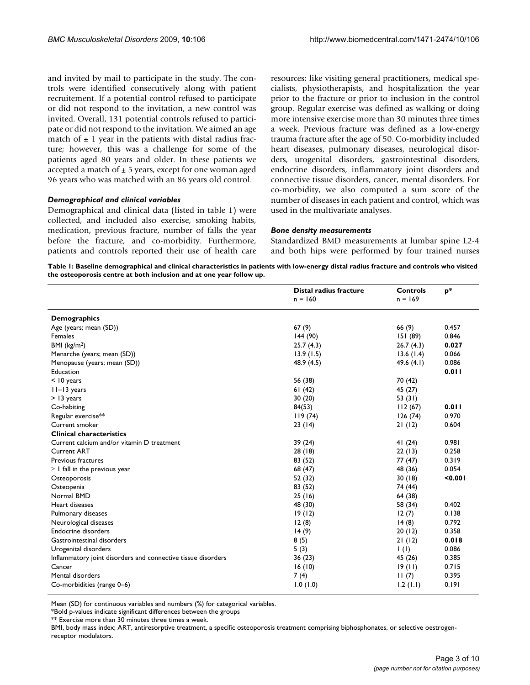and invited by mail to participate in the study. The controls were identified consecutively along with patient recruitement. If a potential control refused to participate or did not respond to the invitation, a new control was invited. Overall, 131 potential controls refused to participate or did not respond to the invitation. We aimed an age match of  $\pm$  1 year in the patients with distal radius fracture; however, this was a challenge for some of the patients aged 80 years and older. In these patients we accepted a match of  $\pm$  5 years, except for one woman aged 96 years who was matched with an 86 years old control.

#### *Demographical and clinical variables*

Demographical and clinical data (listed in table 1) were collected, and included also exercise, smoking habits, medication, previous fracture, number of falls the year before the fracture, and co-morbidity. Furthermore, patients and controls reported their use of health care resources; like visiting general practitioners, medical specialists, physiotherapists, and hospitalization the year prior to the fracture or prior to inclusion in the control group. Regular exercise was defined as walking or doing more intensive exercise more than 30 minutes three times a week. Previous fracture was defined as a low-energy trauma fracture after the age of 50. Co-morbidity included heart diseases, pulmonary diseases, neurological disorders, urogenital disorders, gastrointestinal disorders, endocrine disorders, inflammatory joint disorders and connective tissue disorders, cancer, mental disorders. For co-morbidity, we also computed a sum score of the number of diseases in each patient and control, which was used in the multivariate analyses.

#### *Bone density measurements*

Standardized BMD measurements at lumbar spine L2-4 and both hips were performed by four trained nurses

**Table 1: Baseline demographical and clinical characteristics in patients with low-energy distal radius fracture and controls who visited the osteoporosis centre at both inclusion and at one year follow up.**

|                                                              | Distal radius fracture | <b>Controls</b> | $p*$  |
|--------------------------------------------------------------|------------------------|-----------------|-------|
|                                                              | $n = 160$              | $n = 169$       |       |
| <b>Demographics</b>                                          |                        |                 |       |
| Age (years; mean (SD))                                       | 67(9)                  | 66 (9)          | 0.457 |
| Females                                                      | 144 (90)               | 151 (89)        | 0.846 |
| BMI (kg/m <sup>2</sup> )                                     | 25.7(4.3)              | 26.7(4.3)       | 0.027 |
| Menarche (years; mean (SD))                                  | 13.9(1.5)              | 13.6(1.4)       | 0.066 |
| Menopause (years; mean (SD))                                 | 48.9 (4.5)             | 49.6 $(4.1)$    | 0.086 |
| Education                                                    |                        |                 | 0.011 |
| $<$ 10 years                                                 | 56 (38)                | 70 (42)         |       |
| II-13 years                                                  | 61(42)                 | 45 (27)         |       |
| > 13 years                                                   | 30(20)                 | 53 $(31)$       |       |
| Co-habiting                                                  | 84(53)                 | 112(67)         | 0.011 |
| Regular exercise**                                           | 119(74)                | 126(74)         | 0.970 |
| Current smoker                                               | 23(14)                 | 21(12)          | 0.604 |
| <b>Clinical characteristics</b>                              |                        |                 |       |
| Current calcium and/or vitamin D treatment                   | 39(24)                 | 41(24)          | 0.981 |
| <b>Current ART</b>                                           | 28(18)                 | 22(13)          | 0.258 |
| Previous fractures                                           | 83 (52)                | 77 (47)         | 0.319 |
| $\geq$ 1 fall in the previous year                           | 68 (47)                | 48 (36)         | 0.054 |
| Osteoporosis                                                 | 52 (32)                | 30(18)          | 0.001 |
| Osteopenia                                                   | 83 (52)                | 74 (44)         |       |
| Normal BMD                                                   | 25(16)                 | 64 (38)         |       |
| Heart diseases                                               | 48 (30)                | 58 (34)         | 0.402 |
| Pulmonary diseases                                           | 19(12)                 | 12(7)           | 0.138 |
| Neurological diseases                                        | 12(8)                  | 14(8)           | 0.792 |
| <b>Endocrine disorders</b>                                   | 14(9)                  | 20(12)          | 0.358 |
| Gastrointestinal disorders                                   | 8(5)                   | 21(12)          | 0.018 |
| Urogenital disorders                                         | 5(3)                   | $\vert$ (l)     | 0.086 |
| Inflammatory joint disorders and connective tissue disorders | 36(23)                 | 45 (26)         | 0.385 |
| Cancer                                                       | 16(10)                 | 19(11)          | 0.715 |
| Mental disorders                                             | 7(4)                   | 11(7)           | 0.395 |
| Co-morbidities (range 0-6)                                   | 1.0(1.0)               | 1.2(1.1)        | 0.191 |

Mean (SD) for continuous variables and numbers (%) for categorical variables.

\*Bold p-values indicate significant differences between the groups

 $**$  Exercise more than 30 minutes three times a week.

BMI, body mass index; ART, antiresorptive treatment, a specific osteoporosis treatment comprising biphosphonates, or selective oestrogenreceptor modulators.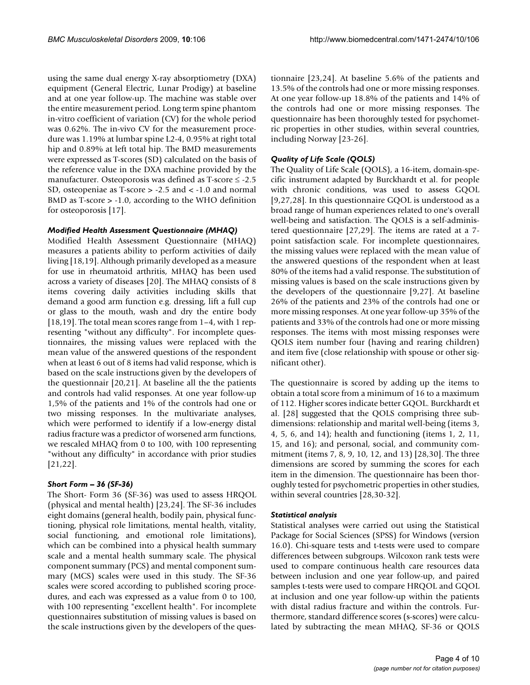using the same dual energy X-ray absorptiometry (DXA) equipment (General Electric, Lunar Prodigy) at baseline and at one year follow-up. The machine was stable over the entire measurement period. Long term spine phantom in-vitro coefficient of variation (CV) for the whole period was 0.62%. The in-vivo CV for the measurement procedure was 1.19% at lumbar spine L2-4, 0.95% at right total hip and 0.89% at left total hip. The BMD measurements were expressed as T-scores (SD) calculated on the basis of the reference value in the DXA machine provided by the manufacturer. Osteoporosis was defined as T-score ≤ -2.5 SD, osteopeniae as T-score > -2.5 and < -1.0 and normal BMD as T-score > -1.0, according to the WHO definition for osteoporosis [17].

# *Modified Health Assessment Questionnaire (MHAQ)*

Modified Health Assessment Questionnaire (MHAQ) measures a patients ability to perform activities of daily living [18,19]. Although primarily developed as a measure for use in rheumatoid arthritis, MHAQ has been used across a variety of diseases [20]. The MHAQ consists of 8 items covering daily activities including skills that demand a good arm function e.g. dressing, lift a full cup or glass to the mouth, wash and dry the entire body [18,19]. The total mean scores range from 1–4, with 1 representing "without any difficulty". For incomplete questionnaires, the missing values were replaced with the mean value of the answered questions of the respondent when at least 6 out of 8 items had valid response, which is based on the scale instructions given by the developers of the questionnair [20,21]. At baseline all the the patients and controls had valid responses. At one year follow-up 1,5% of the patients and 1% of the controls had one or two missing responses. In the multivariate analyses, which were performed to identify if a low-energy distal radius fracture was a predictor of worsened arm functions, we rescaled MHAQ from 0 to 100, with 100 representing "without any difficulty" in accordance with prior studies [21,22].

# *Short Form – 36 (SF-36)*

The Short- Form 36 (SF-36) was used to assess HRQOL (physical and mental health) [23,24]. The SF-36 includes eight domains (general health, bodily pain, physical functioning, physical role limitations, mental health, vitality, social functioning, and emotional role limitations), which can be combined into a physical health summary scale and a mental health summary scale. The physical component summary (PCS) and mental component summary (MCS) scales were used in this study. The SF-36 scales were scored according to published scoring procedures, and each was expressed as a value from 0 to 100, with 100 representing "excellent health". For incomplete questionnaires substitution of missing values is based on the scale instructions given by the developers of the questionnaire [23,24]. At baseline 5.6% of the patients and 13.5% of the controls had one or more missing responses. At one year follow-up 18.8% of the patients and 14% of the controls had one or more missing responses. The questionnaire has been thoroughly tested for psychometric properties in other studies, within several countries, including Norway [23-26].

### *Quality of Life Scale (QOLS)*

The Quality of Life Scale (QOLS), a 16-item, domain-specific instrument adapted by Burckhardt et al. for people with chronic conditions, was used to assess GQOL [9,27,28]. In this questionnaire GQOL is understood as a broad range of human experiences related to one's overall well-being and satisfaction. The QOLS is a self-administered questionnaire [27,29]. The items are rated at a 7 point satisfaction scale. For incomplete questionnaires, the missing values were replaced with the mean value of the answered questions of the respondent when at least 80% of the items had a valid response. The substitution of missing values is based on the scale instructions given by the developers of the questionnaire [9,27]. At baseline 26% of the patients and 23% of the controls had one or more missing responses. At one year follow-up 35% of the patients and 33% of the controls had one or more missing responses. The items with most missing responses were QOLS item number four (having and rearing children) and item five (close relationship with spouse or other significant other).

The questionnaire is scored by adding up the items to obtain a total score from a minimum of 16 to a maximum of 112. Higher scores indicate better GQOL. Burckhardt et al. [28] suggested that the QOLS comprising three subdimensions: relationship and marital well-being (items 3, 4, 5, 6, and 14); health and functioning (items 1, 2, 11, 15, and 16); and personal, social, and community commitment (items 7, 8, 9, 10, 12, and 13) [28,30]. The three dimensions are scored by summing the scores for each item in the dimension. The questionnaire has been thoroughly tested for psychometric properties in other studies, within several countries [28,30-32].

# *Statistical analysis*

Statistical analyses were carried out using the Statistical Package for Social Sciences (SPSS) for Windows (version 16.0). Chi-square tests and t-tests were used to compare differences between subgroups. Wilcoxon rank tests were used to compare continuous health care resources data between inclusion and one year follow-up, and paired samples t-tests were used to compare HRQOL and GQOL at inclusion and one year follow-up within the patients with distal radius fracture and within the controls. Furthermore, standard difference scores (s-scores) were calculated by subtracting the mean MHAQ, SF-36 or QOLS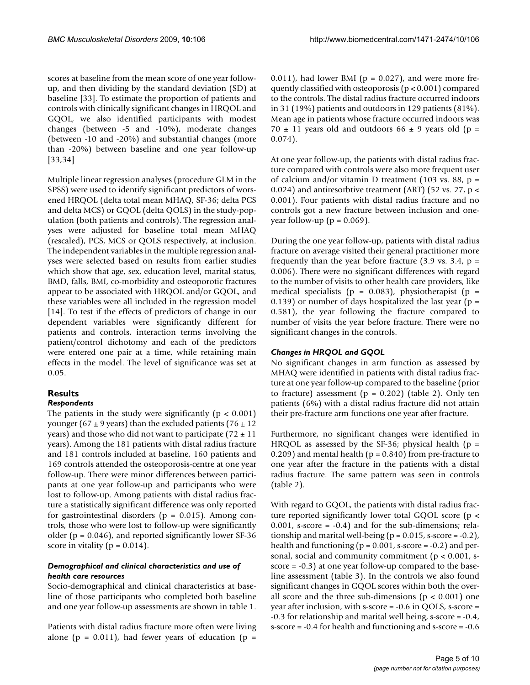scores at baseline from the mean score of one year followup, and then dividing by the standard deviation (SD) at baseline [33]. To estimate the proportion of patients and controls with clinically significant changes in HRQOL and GQOL, we also identified participants with modest changes (between -5 and -10%), moderate changes (between -10 and -20%) and substantial changes (more than -20%) between baseline and one year follow-up [33,34]

Multiple linear regression analyses (procedure GLM in the SPSS) were used to identify significant predictors of worsened HRQOL (delta total mean MHAQ, SF-36; delta PCS and delta MCS) or GQOL (delta QOLS) in the study-population (both patients and controls). The regression analyses were adjusted for baseline total mean MHAQ (rescaled), PCS, MCS or QOLS respectively, at inclusion. The independent variables in the multiple regression analyses were selected based on results from earlier studies which show that age, sex, education level, marital status, BMD, falls, BMI, co-morbidity and osteoporotic fractures appear to be associated with HRQOL and/or GQOL, and these variables were all included in the regression model [14]. To test if the effects of predictors of change in our dependent variables were significantly different for patients and controls, interaction terms involving the patient/control dichotomy and each of the predictors were entered one pair at a time, while retaining main effects in the model. The level of significance was set at 0.05.

# **Results**

# *Respondents*

The patients in the study were significantly ( $p < 0.001$ ) younger (67  $\pm$  9 years) than the excluded patients (76  $\pm$  12 years) and those who did not want to participate (72  $\pm$  11 years). Among the 181 patients with distal radius fracture and 181 controls included at baseline, 160 patients and 169 controls attended the osteoporosis-centre at one year follow-up. There were minor differences between participants at one year follow-up and participants who were lost to follow-up. Among patients with distal radius fracture a statistically significant difference was only reported for gastrointestinal disorders ( $p = 0.015$ ). Among controls, those who were lost to follow-up were significantly older (p = 0.046), and reported significantly lower SF-36 score in vitality ( $p = 0.014$ ).

#### *Demographical and clinical characteristics and use of health care resources*

Socio-demographical and clinical characteristics at baseline of those participants who completed both baseline and one year follow-up assessments are shown in table 1.

Patients with distal radius fracture more often were living alone ( $p = 0.011$ ), had fewer years of education ( $p =$ 

 $0.011$ ), had lower BMI ( $p = 0.027$ ), and were more frequently classified with osteoporosis (p < 0.001) compared to the controls. The distal radius fracture occurred indoors in 31 (19%) patients and outdoors in 129 patients (81%). Mean age in patients whose fracture occurred indoors was  $70 \pm 11$  years old and outdoors 66  $\pm$  9 years old (p = 0.074).

At one year follow-up, the patients with distal radius fracture compared with controls were also more frequent user of calcium and/or vitamin D treatment (103 vs. 88,  $p =$ 0.024) and antiresorbtive treatment (ART) (52 vs. 27,  $p <$ 0.001). Four patients with distal radius fracture and no controls got a new fracture between inclusion and oneyear follow-up ( $p = 0.069$ ).

During the one year follow-up, patients with distal radius fracture on average visited their general practitioner more frequently than the year before fracture  $(3.9 \text{ vs. } 3.4, \text{ p} =$ 0.006). There were no significant differences with regard to the number of visits to other health care providers, like medical specialists ( $p = 0.083$ ), physiotherapist ( $p =$ 0.139) or number of days hospitalized the last year ( $p =$ 0.581), the year following the fracture compared to number of visits the year before fracture. There were no significant changes in the controls.

# *Changes in HRQOL and GQOL*

No significant changes in arm function as assessed by MHAQ were identified in patients with distal radius fracture at one year follow-up compared to the baseline (prior to fracture) assessment ( $p = 0.202$ ) (table 2). Only ten patients (6%) with a distal radius fracture did not attain their pre-fracture arm functions one year after fracture.

Furthermore, no significant changes were identified in HRQOL as assessed by the SF-36; physical health ( $p =$ 0.209) and mental health ( $p = 0.840$ ) from pre-fracture to one year after the fracture in the patients with a distal radius fracture. The same pattern was seen in controls (table 2).

With regard to GQOL, the patients with distal radius fracture reported significantly lower total GQOL score (p < 0.001, s-score = -0.4) and for the sub-dimensions; relationship and marital well-being ( $p = 0.015$ , s-score = -0.2), health and functioning ( $p = 0.001$ , s-score = -0.2) and personal, social and community commitment ( $p < 0.001$ , sscore = -0.3) at one year follow-up compared to the baseline assessment (table 3). In the controls we also found significant changes in GQOL scores within both the overall score and the three sub-dimensions ( $p < 0.001$ ) one year after inclusion, with s-score = -0.6 in QOLS, s-score = -0.3 for relationship and marital well being, s-score = -0.4, s-score = -0.4 for health and functioning and s-score = -0.6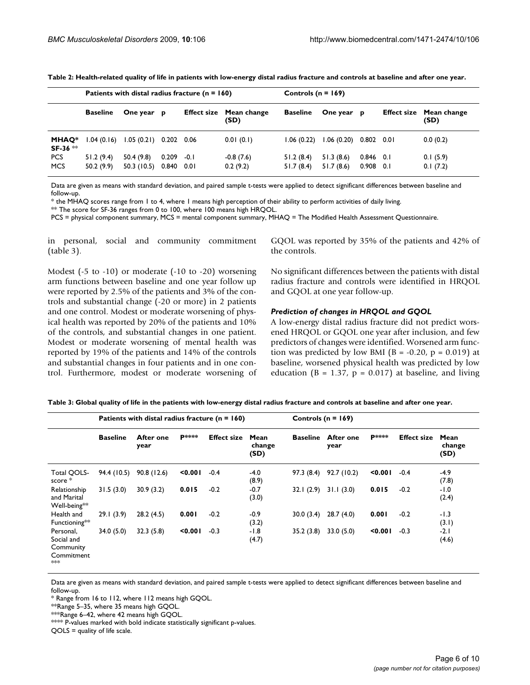|                            |                        |                         | Patients with distal radius fracture ( $n = 160$ ) |                    | Controls $(n = 169)$    |                        |                        |                      |      |                                        |
|----------------------------|------------------------|-------------------------|----------------------------------------------------|--------------------|-------------------------|------------------------|------------------------|----------------------|------|----------------------------------------|
|                            | <b>Baseline</b>        | One year p              |                                                    | <b>Effect size</b> | Mean change<br>(SD)     | <b>Baseline</b>        | One year               | D                    |      | <b>Effect size</b> Mean change<br>(SD) |
| <b>MHAQ*</b><br>SF-36 $**$ | 1.04(0.16)             | 1.05(0.21)              | $0.202$ 0.06                                       |                    | 0.01(0.1)               | 1.06(0.22)             | 1.06(0.20)             | 0.802                | 0.01 | 0.0(0.2)                               |
| <b>PCS</b><br><b>MCS</b>   | 51.2(9.4)<br>50.2(9.9) | 50.4(9.8)<br>50.3(10.5) | 0.209<br>$0.840$ 0.01                              | $-0.1$             | $-0.8(7.6)$<br>0.2(9.2) | 51.2(8.4)<br>51.7(8.4) | 51.3(8.6)<br>51.7(8.6) | $0.846$ 0.1<br>0.908 | 0.1  | 0.1(5.9)<br>0.1(7.2)                   |

**Table 2: Health-related quality of life in patients with low-energy distal radius fracture and controls at baseline and after one year.**

Data are given as means with standard deviation, and paired sample t-tests were applied to detect significant differences between baseline and follow-up.

\* the MHAQ scores range from 1 to 4, where 1 means high perception of their ability to perform activities of daily living.

\*\* The score for SF-36 ranges from 0 to 100, where 100 means high HRQOL.

PCS = physical component summary, MCS = mental component summary, MHAQ = The Modified Health Assessment Questionnaire.

in personal, social and community commitment (table 3).

Modest (-5 to -10) or moderate (-10 to -20) worsening arm functions between baseline and one year follow up were reported by 2.5% of the patients and 3% of the controls and substantial change (-20 or more) in 2 patients and one control. Modest or moderate worsening of physical health was reported by 20% of the patients and 10% of the controls, and substantial changes in one patient. Modest or moderate worsening of mental health was reported by 19% of the patients and 14% of the controls and substantial changes in four patients and in one control. Furthermore, modest or moderate worsening of GQOL was reported by 35% of the patients and 42% of the controls.

No significant differences between the patients with distal radius fracture and controls were identified in HRQOL and GQOL at one year follow-up.

#### *Prediction of changes in HRQOL and GQOL*

A low-energy distal radius fracture did not predict worsened HRQOL or GQOL one year after inclusion, and few predictors of changes were identified. Worsened arm function was predicted by low BMI (B =  $-0.20$ , p = 0.019) at baseline, worsened physical health was predicted by low education ( $B = 1.37$ ,  $p = 0.017$ ) at baseline, and living

|                                                           |                 | Patients with distal radius fracture ( $n = 160$ ) |              |                    | Controls ( $n = 169$ ) |                 |                   |              |                    |                        |
|-----------------------------------------------------------|-----------------|----------------------------------------------------|--------------|--------------------|------------------------|-----------------|-------------------|--------------|--------------------|------------------------|
|                                                           | <b>Baseline</b> | <b>After one</b><br>year                           | <b>P****</b> | <b>Effect size</b> | Mean<br>change<br>(SD) | <b>Baseline</b> | After one<br>year | <b>P****</b> | <b>Effect size</b> | Mean<br>change<br>(SD) |
| Total QOLS-<br>score $*$                                  | 94.4 (10.5)     | 90.8(12.6)                                         | < 0.001      | $-0.4$             | $-4.0$<br>(8.9)        | 97.3 (8.4)      | 92.7(10.2)        | 0.001        | $-0.4$             | -4.9<br>(7.8)          |
| Relationship<br>and Marital<br>Well-being**               | 31.5(3.0)       | 30.9(3.2)                                          | 0.015        | $-0.2$             | $-0.7$<br>(3.0)        | 32.1(2.9)       | 31.1(3.0)         | 0.015        | $-0.2$             | -1.0<br>(2.4)          |
| Health and<br>Functioning**                               | 29.1(3.9)       | 28.2(4.5)                                          | 0.001        | $-0.2$             | $-0.9$<br>(3.2)        | 30.0(3.4)       | 28.7(4.0)         | 0.001        | $-0.2$             | $-1.3$<br>(3.1)        |
| Personal.<br>Social and<br>Community<br>Commitment<br>$*$ | 34.0(5.0)       | 32.3(5.8)                                          | 0.001        | $-0.3$             | $-1.8$<br>(4.7)        | 35.2(3.8)       | 33.0(5.0)         | 0.001        | $-0.3$             | $-2.1$<br>(4.6)        |

Data are given as means with standard deviation, and paired sample t-tests were applied to detect significant differences between baseline and follow-up.

\* Range from 16 to 112, where 112 means high GQOL.

\*\*Range 5–35, where 35 means high GQOL.

\*\*Range 6-42, where 42 means high GQOL.

\*\*\*\*\* P-values marked with bold indicate statistically significant p-values.

QOLS = quality of life scale.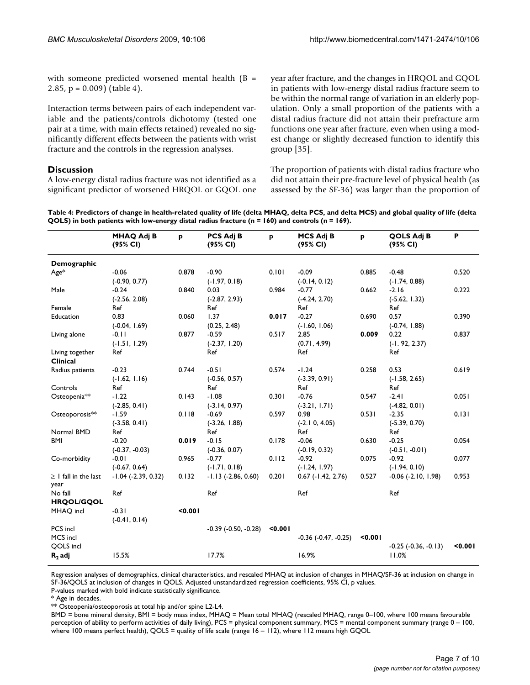with someone predicted worsened mental health  $(B =$ 2.85, p = 0.009) (table 4).

Interaction terms between pairs of each independent variable and the patients/controls dichotomy (tested one pair at a time, with main effects retained) revealed no significantly different effects between the patients with wrist fracture and the controls in the regression analyses.

#### **Discussion**

A low-energy distal radius fracture was not identified as a significant predictor of worsened HRQOL or GQOL one year after fracture, and the changes in HRQOL and GQOL in patients with low-energy distal radius fracture seem to be within the normal range of variation in an elderly population. Only a small proportion of the patients with a distal radius fracture did not attain their prefracture arm functions one year after fracture, even when using a modest change or slightly decreased function to identify this group [35].

The proportion of patients with distal radius fracture who did not attain their pre-fracture level of physical health (as assessed by the SF-36) was larger than the proportion of

**Table 4: Predictors of change in health-related quality of life (delta MHAQ, delta PCS, and delta MCS) and global quality of life (delta QOLS) in both patients with low-energy distal radius fracture (n = 160) and controls (n = 169).**

|                                    | <b>MHAQ Adj B</b><br>(95% CI) | p     | PCS Adj B<br>(95% CI)    | p       | <b>MCS Adj B</b><br>(95% CI) | p       | <b>QOLS Adj B</b><br>(95% CI) | P     |
|------------------------------------|-------------------------------|-------|--------------------------|---------|------------------------------|---------|-------------------------------|-------|
| Demographic                        |                               |       |                          |         |                              |         |                               |       |
| $Age*$                             | $-0.06$                       | 0.878 | $-0.90$                  | 0.101   | $-0.09$                      | 0.885   | $-0.48$                       | 0.520 |
|                                    | $(-0.90, 0.77)$               |       | $(-1.97, 0.18)$          |         | $(-0.14, 0.12)$              |         | $(-1.74, 0.88)$               |       |
| Male                               | $-0.24$                       | 0.840 | 0.03                     | 0.984   | $-0.77$                      | 0.662   | $-2.16$                       | 0.222 |
|                                    | $(-2.56, 2.08)$               |       | $(-2.87, 2.93)$          |         | $(-4.24, 2.70)$              |         | $(-5.62, 1.32)$               |       |
| Female                             | Ref                           |       | Ref                      |         | Ref                          |         | Ref                           |       |
| Education                          | 0.83                          | 0.060 | 1.37                     | 0.017   | $-0.27$                      | 0.690   | 0.57                          | 0.390 |
|                                    | $(-0.04, 1.69)$               |       | (0.25, 2.48)             |         | $(-1.60, 1.06)$              |         | $(-0.74, 1.88)$               |       |
| Living alone                       | $-0.11$                       | 0.877 | $-0.59$                  | 0.517   | 2.85                         | 0.009   | 0.22                          | 0.837 |
|                                    | $(-1.51, 1.29)$               |       | $(-2.37, 1.20)$          |         | (0.71, 4.99)                 |         | $(-1.92, 2.37)$               |       |
| Living together<br><b>Clinical</b> | Ref                           |       | Ref                      |         | Ref                          |         | Ref                           |       |
| Radius patients                    | $-0.23$                       | 0.744 | $-0.51$                  | 0.574   | $-1.24$                      | 0.258   | 0.53                          | 0.619 |
|                                    | $(-1.62, 1.16)$               |       | $(-0.56, 0.57)$          |         | $(-3.39, 0.91)$              |         | $(-1.58, 2.65)$               |       |
| Controls                           | Ref                           |       | Ref                      |         | Ref                          |         | Ref                           |       |
| Osteopenia <sup>**</sup>           | $-1.22$                       | 0.143 | $-1.08$                  | 0.301   | $-0.76$                      | 0.547   | $-2.41$                       | 0.051 |
|                                    | $(-2.85, 0.41)$               |       | $(-3.14, 0.97)$          |         | $(-3.21, 1.71)$              |         | $(-4.82, 0.01)$               |       |
| Osteoporosis**                     | $-1.59$                       | 0.118 | $-0.69$                  | 0.597   | 0.98                         | 0.531   | $-2.35$                       | 0.131 |
|                                    | $(-3.58, 0.41)$               |       | $(-3.26, 1.88)$          |         | $(-2.10, 4.05)$              |         | $(-5.39, 0.70)$               |       |
| Normal BMD                         | Ref                           |       | Ref                      |         | Ref                          |         | Ref                           |       |
| <b>BMI</b>                         | $-0.20$                       | 0.019 | $-0.15$                  | 0.178   | $-0.06$                      | 0.630   | $-0.25$                       | 0.054 |
|                                    | $(-0.37, -0.03)$              |       | $(-0.36, 0.07)$          |         | $(-0.19, 0.32)$              |         | $(-0.51, -0.01)$              |       |
| Co-morbidity                       | $-0.01$                       | 0.965 | $-0.77$                  | 0.112   | $-0.92$                      | 0.075   | $-0.92$                       | 0.077 |
|                                    | $(-0.67, 0.64)$               |       | $(-1.71, 0.18)$          |         | $(-1.24, 1.97)$              |         | $(-1.94, 0.10)$               |       |
| $\geq$ 1 fall in the last<br>year  | $-1.04$ $(-2.39, 0.32)$       | 0.132 | $-1.13$ $(-2.86, 0.60)$  | 0.201   | $0.67$ ( $-1.42$ , $2.76$ )  | 0.527   | $-0.06$ $(-2.10, 1.98)$       | 0.953 |
| No fall                            | Ref                           |       | Ref                      |         | Ref                          |         | Ref                           |       |
| <b>HRQOL/GQOL</b>                  |                               |       |                          |         |                              |         |                               |       |
| MHAQ incl                          | $-0.31$                       | 0.001 |                          |         |                              |         |                               |       |
|                                    | $(-0.41, 0.14)$               |       |                          |         |                              |         |                               |       |
| PCS incl                           |                               |       | $-0.39$ $(-0.50, -0.28)$ | < 0.001 |                              |         |                               |       |
| MCS incl                           |                               |       |                          |         | $-0.36$ $(-0.47, -0.25)$     | < 0.001 |                               |       |
| QOLS incl                          |                               |       |                          |         |                              |         | $-0.25$ $(-0.36, -0.13)$      | 0.001 |
| $R_2$ adj                          | 15.5%                         |       | 17.7%                    |         | 16.9%                        |         | 11.0%                         |       |

Regression analyses of demographics, clinical characteristics, and rescaled MHAQ at inclusion of changes in MHAQ/SF-36 at inclusion on change in SF-36/QOLS at inclusion of changes in QOLS. Adjusted unstandardized regression coefficients, 95% CI, p values.

P-values marked with bold indicate statistically significance.

\* Age in decades.

\*\* Osteopenia/osteoporosis at total hip and/or spine L2-L4.

BMD = bone mineral density, BMI = body mass index, MHAQ = Mean total MHAQ (rescaled MHAQ, range 0-100, where 100 means favourable perception of ability to perform activities of daily living), PCS = physical component summary, MCS = mental component summary (range 0 – 100, where 100 means perfect health), QOLS = quality of life scale (range 16 – 112), where 112 means high GQOL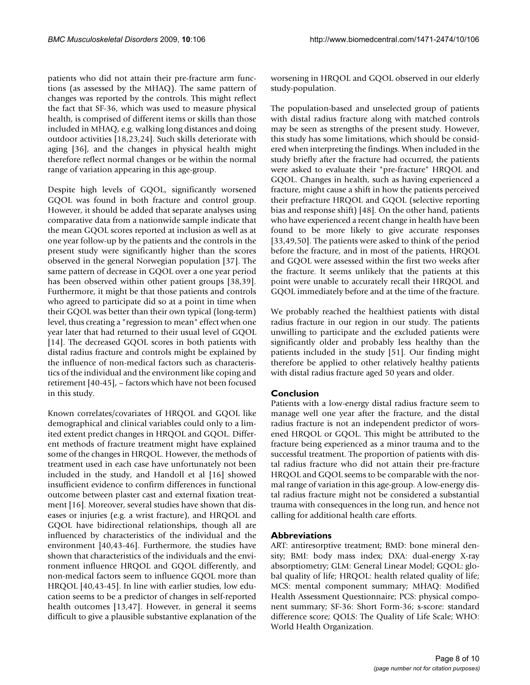patients who did not attain their pre-fracture arm functions (as assessed by the MHAQ). The same pattern of changes was reported by the controls. This might reflect the fact that SF-36, which was used to measure physical health, is comprised of different items or skills than those included in MHAQ, e.g. walking long distances and doing outdoor activities [18,23,24]. Such skills deteriorate with aging [36], and the changes in physical health might therefore reflect normal changes or be within the normal range of variation appearing in this age-group.

Despite high levels of GQOL, significantly worsened GQOL was found in both fracture and control group. However, it should be added that separate analyses using comparative data from a nationwide sample indicate that the mean GQOL scores reported at inclusion as well as at one year follow-up by the patients and the controls in the present study were significantly higher than the scores observed in the general Norwegian population [37]. The same pattern of decrease in GQOL over a one year period has been observed within other patient groups [38,39]. Furthermore, it might be that those patients and controls who agreed to participate did so at a point in time when their GQOL was better than their own typical (long-term) level, thus creating a "regression to mean" effect when one year later that had returned to their usual level of GQOL [14]. The decreased GQOL scores in both patients with distal radius fracture and controls might be explained by the influence of non-medical factors such as characteristics of the individual and the environment like coping and retirement [40-45], – factors which have not been focused in this study.

Known correlates/covariates of HRQOL and GQOL like demographical and clinical variables could only to a limited extent predict changes in HRQOL and GQOL. Different methods of fracture treatment might have explained some of the changes in HRQOL. However, the methods of treatment used in each case have unfortunately not been included in the study, and Handoll et al [16] showed insufficient evidence to confirm differences in functional outcome between plaster cast and external fixation treatment [16]. Moreover, several studies have shown that diseases or injuries (e.g. a wrist fracture), and HRQOL and GQOL have bidirectional relationships, though all are influenced by characteristics of the individual and the environment [40,43-46]. Furthermore, the studies have shown that characteristics of the individuals and the environment influence HRQOL and GQOL differently, and non-medical factors seem to influence GQOL more than HRQOL [40,43-45]. In line with earlier studies, low education seems to be a predictor of changes in self-reported health outcomes [13,47]. However, in general it seems difficult to give a plausible substantive explanation of the worsening in HRQOL and GQOL observed in our elderly study-population.

The population-based and unselected group of patients with distal radius fracture along with matched controls may be seen as strengths of the present study. However, this study has some limitations, which should be considered when interpreting the findings. When included in the study briefly after the fracture had occurred, the patients were asked to evaluate their "pre-fracture" HRQOL and GQOL. Changes in health, such as having experienced a fracture, might cause a shift in how the patients perceived their prefracture HRQOL and GQOL (selective reporting bias and response shift) [48]. On the other hand, patients who have experienced a recent change in health have been found to be more likely to give accurate responses [33,49,50]. The patients were asked to think of the period before the fracture, and in most of the patients, HRQOL and GQOL were assessed within the first two weeks after the fracture. It seems unlikely that the patients at this point were unable to accurately recall their HRQOL and GQOL immediately before and at the time of the fracture.

We probably reached the healthiest patients with distal radius fracture in our region in our study. The patients unwilling to participate and the excluded patients were significantly older and probably less healthy than the patients included in the study [51]. Our finding might therefore be applied to other relatively healthy patients with distal radius fracture aged 50 years and older.

# **Conclusion**

Patients with a low-energy distal radius fracture seem to manage well one year after the fracture, and the distal radius fracture is not an independent predictor of worsened HRQOL or GQOL. This might be attributed to the fracture being experienced as a minor trauma and to the successful treatment. The proportion of patients with distal radius fracture who did not attain their pre-fracture HRQOL and GQOL seems to be comparable with the normal range of variation in this age-group. A low-energy distal radius fracture might not be considered a substantial trauma with consequences in the long run, and hence not calling for additional health care efforts.

# **Abbreviations**

ART: antiresorptive treatment; BMD: bone mineral density; BMI: body mass index; DXA: dual-energy X-ray absorptiometry; GLM: General Linear Model; GQOL: global quality of life; HRQOL: health related quality of life; MCS: mental component summary; MHAQ: Modified Health Assessment Questionnaire; PCS: physical component summary; SF-36: Short Form-36; s-score: standard difference score; QOLS: The Quality of Life Scale; WHO: World Health Organization.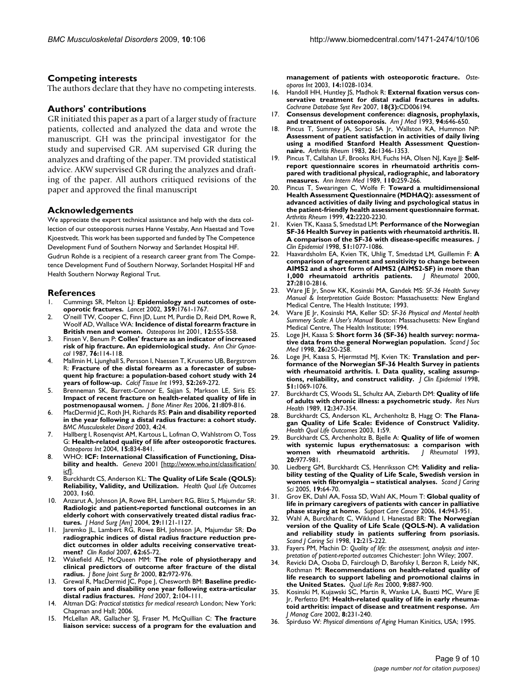#### **Competing interests**

The authors declare that they have no competing interests.

#### **Authors' contributions**

GR initiated this paper as a part of a larger study of fracture patients, collected and analyzed the data and wrote the manuscript. GH was the principal investigator for the study and supervised GR. AM supervised GR during the analyzes and drafting of the paper. TM provided statistical advice. AKW supervised GR during the analyzes and drafting of the paper. All authors critiqued revisions of the paper and approved the final manuscript

#### **Acknowledgements**

We appreciate the expert technical assistance and help with the data collection of our osteoporosis nurses Hanne Vestaby, Ann Haestad and Tove Kjoestvedt. This work has been supported and funded by The Competence Development Fund of Southern Norway and Sørlandet Hospital HF. Gudrun Rohde is a recipient of a research career grant from The Competence Development Fund of Southern Norway, Sorlandet Hospital HF and Health Southern Norway Regional Trut.

#### **References**

- 1. Cummings SR, Melton LJ: **[Epidemiology and outcomes of oste](http://www.ncbi.nlm.nih.gov/entrez/query.fcgi?cmd=Retrieve&db=PubMed&dopt=Abstract&list_uids=12049882)[oporotic fractures.](http://www.ncbi.nlm.nih.gov/entrez/query.fcgi?cmd=Retrieve&db=PubMed&dopt=Abstract&list_uids=12049882)** *Lancet* 2002, **359:**1761-1767.
- 2. O'neill TW, Cooper C, Finn JD, Lunt M, Purdie D, Reid DM, Rowe R, Woolf AD, Wallace WA: **[Incidence of distal forearm fracture in](http://www.ncbi.nlm.nih.gov/entrez/query.fcgi?cmd=Retrieve&db=PubMed&dopt=Abstract&list_uids=11527052) [British men and women.](http://www.ncbi.nlm.nih.gov/entrez/query.fcgi?cmd=Retrieve&db=PubMed&dopt=Abstract&list_uids=11527052)** *Osteoporos Int* 2001, **12:**555-558.
- 3. Finsen V, Benum P: **[Colles' fracture as an indicator of increased](http://www.ncbi.nlm.nih.gov/entrez/query.fcgi?cmd=Retrieve&db=PubMed&dopt=Abstract&list_uids=3497604) [risk of hip fracture. An epidemiological study.](http://www.ncbi.nlm.nih.gov/entrez/query.fcgi?cmd=Retrieve&db=PubMed&dopt=Abstract&list_uids=3497604)** *Ann Chir Gynaecol* 1987, **76:**114-118.
- 4. Mallmin H, Ljunghall S, Persson I, Naessen T, Krusemo UB, Bergstrom R: **[Fracture of the distal forearm as a forecaster of subse](http://www.ncbi.nlm.nih.gov/entrez/query.fcgi?cmd=Retrieve&db=PubMed&dopt=Abstract&list_uids=8467406)[quent hip fracture: a population-based cohort study with 24](http://www.ncbi.nlm.nih.gov/entrez/query.fcgi?cmd=Retrieve&db=PubMed&dopt=Abstract&list_uids=8467406) [years of follow-up.](http://www.ncbi.nlm.nih.gov/entrez/query.fcgi?cmd=Retrieve&db=PubMed&dopt=Abstract&list_uids=8467406)** *Calcif Tissue Int* 1993, **52:**269-272.
- 5. Brenneman SK, Barrett-Connor E, Sajjan S, Markson LE, Siris ES: **[Impact of recent fracture on health-related quality of life in](http://www.ncbi.nlm.nih.gov/entrez/query.fcgi?cmd=Retrieve&db=PubMed&dopt=Abstract&list_uids=16753011) [postmenopausal women.](http://www.ncbi.nlm.nih.gov/entrez/query.fcgi?cmd=Retrieve&db=PubMed&dopt=Abstract&list_uids=16753011)** *J Bone Miner Res* 2006, **21:**809-816.
- 6. MacDermid JC, Roth JH, Richards RS: **[Pain and disability reported](http://www.ncbi.nlm.nih.gov/entrez/query.fcgi?cmd=Retrieve&db=PubMed&dopt=Abstract&list_uids=14588078) [in the year following a distal radius fracture: a cohort study.](http://www.ncbi.nlm.nih.gov/entrez/query.fcgi?cmd=Retrieve&db=PubMed&dopt=Abstract&list_uids=14588078)** *BMC Musculoskelet Disord* 2003, **4:**24.
- 7. Hallberg I, Rosenqvist AM, Kartous L, Lofman O, Wahlstrom O, Toss G: **[Health-related quality of life after osteoporotic fractures.](http://www.ncbi.nlm.nih.gov/entrez/query.fcgi?cmd=Retrieve&db=PubMed&dopt=Abstract&list_uids=15045468)** *Osteoporos Int* 2004, **15:**834-841.
- 8. WHO: **ICF: International Classification of Functioning, Disability and health.** *Geneva* 2001 [[http://www.who.int/classification/](http://www.who.int/classification/icf) [icf](http://www.who.int/classification/icf)].
- 9. Burckhardt CS, Anderson KL: **[The Quality of Life Scale \(QOLS\):](http://www.ncbi.nlm.nih.gov/entrez/query.fcgi?cmd=Retrieve&db=PubMed&dopt=Abstract&list_uids=14613562) [Reliability, Validity, and Utilization.](http://www.ncbi.nlm.nih.gov/entrez/query.fcgi?cmd=Retrieve&db=PubMed&dopt=Abstract&list_uids=14613562)** *Health Qual Life Outcomes* 2003, **1:**60.
- 10. Anzarut A, Johnson JA, Rowe BH, Lambert RG, Blitz S, Majumdar SR: **[Radiologic and patient-reported functional outcomes in an](http://www.ncbi.nlm.nih.gov/entrez/query.fcgi?cmd=Retrieve&db=PubMed&dopt=Abstract&list_uids=15576226) elderly cohort with conservatively treated distal radius frac[tures.](http://www.ncbi.nlm.nih.gov/entrez/query.fcgi?cmd=Retrieve&db=PubMed&dopt=Abstract&list_uids=15576226)** *J Hand Surg [Am]* 2004, **29:**1121-1127.
- 11. Jaremko JL, Lambert RG, Rowe BH, Johnson JA, Majumdar SR: **[Do](http://www.ncbi.nlm.nih.gov/entrez/query.fcgi?cmd=Retrieve&db=PubMed&dopt=Abstract&list_uids=17145266) [radiographic indices of distal radius fracture reduction pre](http://www.ncbi.nlm.nih.gov/entrez/query.fcgi?cmd=Retrieve&db=PubMed&dopt=Abstract&list_uids=17145266)dict outcomes in older adults receiving conservative treat[ment?](http://www.ncbi.nlm.nih.gov/entrez/query.fcgi?cmd=Retrieve&db=PubMed&dopt=Abstract&list_uids=17145266)** *Clin Radiol* 2007, **62:**65-72.
- 12. Wakefield AE, McQueen MM: **[The role of physiotherapy and](http://www.ncbi.nlm.nih.gov/entrez/query.fcgi?cmd=Retrieve&db=PubMed&dopt=Abstract&list_uids=11041584) [clinical predictors of outcome after fracture of the distal](http://www.ncbi.nlm.nih.gov/entrez/query.fcgi?cmd=Retrieve&db=PubMed&dopt=Abstract&list_uids=11041584) [radius.](http://www.ncbi.nlm.nih.gov/entrez/query.fcgi?cmd=Retrieve&db=PubMed&dopt=Abstract&list_uids=11041584)** *J Bone Joint Surg Br* 2000, **82:**972-976.
- 13. Grewal R, MacDermid JC, Pope J, Chesworth BM: **[Baseline predic](http://www.ncbi.nlm.nih.gov/entrez/query.fcgi?cmd=Retrieve&db=PubMed&dopt=Abstract&list_uids=18780068)[tors of pain and disability one year following extra-articular](http://www.ncbi.nlm.nih.gov/entrez/query.fcgi?cmd=Retrieve&db=PubMed&dopt=Abstract&list_uids=18780068) [distal radius fractures.](http://www.ncbi.nlm.nih.gov/entrez/query.fcgi?cmd=Retrieve&db=PubMed&dopt=Abstract&list_uids=18780068)** *Hand* 2007, **2:**104-111.
- 14. Altman DG: *Practical statistics for medical research* London; New York: Chapman and Hall; 2006.
- 15. McLellan AR, Gallacher SJ, Fraser M, McQuillian C: **[The fracture](http://www.ncbi.nlm.nih.gov/entrez/query.fcgi?cmd=Retrieve&db=PubMed&dopt=Abstract&list_uids=14600804) [liaison service: success of a program for the evaluation and](http://www.ncbi.nlm.nih.gov/entrez/query.fcgi?cmd=Retrieve&db=PubMed&dopt=Abstract&list_uids=14600804)**

**[management of patients with osteoporotic fracture.](http://www.ncbi.nlm.nih.gov/entrez/query.fcgi?cmd=Retrieve&db=PubMed&dopt=Abstract&list_uids=14600804)** *Osteoporos Int* 2003, **14:**1028-1034.

- 16. Handoll HH, Huntley JS, Madhok R: **External fixation versus conservative treatment for distal radial fractures in adults.** *Cochrane Database Syst Rev* 2007, **18(3):**CD006194.
- 17. **[Consensus development conference: diagnosis, prophylaxis,](http://www.ncbi.nlm.nih.gov/entrez/query.fcgi?cmd=Retrieve&db=PubMed&dopt=Abstract&list_uids=8506892) [and treatment of osteoporosis.](http://www.ncbi.nlm.nih.gov/entrez/query.fcgi?cmd=Retrieve&db=PubMed&dopt=Abstract&list_uids=8506892)** *Am J Med* 1993, **94:**646-650.
- 18. Pincus T, Summey JA, Soraci SA Jr, Wallston KA, Hummon NP: **[Assessment of patient satisfaction in activities of daily living](http://www.ncbi.nlm.nih.gov/entrez/query.fcgi?cmd=Retrieve&db=PubMed&dopt=Abstract&list_uids=6639693) using a modified Stanford Health Assessment Question[naire.](http://www.ncbi.nlm.nih.gov/entrez/query.fcgi?cmd=Retrieve&db=PubMed&dopt=Abstract&list_uids=6639693)** *Arthritis Rheum* 1983, **26:**1346-1353.
- 19. Pincus T, Callahan LF, Brooks RH, Fuchs HA, Olsen NJ, Kaye JJ: [Self](http://www.ncbi.nlm.nih.gov/entrez/query.fcgi?cmd=Retrieve&db=PubMed&dopt=Abstract&list_uids=2913913)**[report questionnaire scores in rheumatoid arthritis com](http://www.ncbi.nlm.nih.gov/entrez/query.fcgi?cmd=Retrieve&db=PubMed&dopt=Abstract&list_uids=2913913)pared with traditional physical, radiographic, and laboratory [measures.](http://www.ncbi.nlm.nih.gov/entrez/query.fcgi?cmd=Retrieve&db=PubMed&dopt=Abstract&list_uids=2913913)** *Ann Intern Med* 1989, **110:**259-266.
- 20. Pincus T, Swearingen C, Wolfe F: **[Toward a multidimensional](http://www.ncbi.nlm.nih.gov/entrez/query.fcgi?cmd=Retrieve&db=PubMed&dopt=Abstract&list_uids=10524697) Health Assessment Questionnaire (MDHAQ): assessment of [advanced activities of daily living and psychological status in](http://www.ncbi.nlm.nih.gov/entrez/query.fcgi?cmd=Retrieve&db=PubMed&dopt=Abstract&list_uids=10524697) the patient-friendly health assessment questionnaire format.** *Arthritis Rheum* 1999, **42:**2220-2230.
- 21. Kvien TK, Kaasa S, Smedstad LM: **[Performance of the Norwegian](http://www.ncbi.nlm.nih.gov/entrez/query.fcgi?cmd=Retrieve&db=PubMed&dopt=Abstract&list_uids=9817125) [SF-36 Health Survey in patients with rheumatoid arthritis. II.](http://www.ncbi.nlm.nih.gov/entrez/query.fcgi?cmd=Retrieve&db=PubMed&dopt=Abstract&list_uids=9817125) [A comparison of the SF-36 with disease-specific measures.](http://www.ncbi.nlm.nih.gov/entrez/query.fcgi?cmd=Retrieve&db=PubMed&dopt=Abstract&list_uids=9817125)** *J Clin Epidemiol* 1998, **51:**1077-1086.
- 22. Haavardsholm EA, Kvien TK, Uhlig T, Smedstad LM, Guillemin F: **[A](http://www.ncbi.nlm.nih.gov/entrez/query.fcgi?cmd=Retrieve&db=PubMed&dopt=Abstract&list_uids=11128668) [comparison of agreement and sensitivity to change between](http://www.ncbi.nlm.nih.gov/entrez/query.fcgi?cmd=Retrieve&db=PubMed&dopt=Abstract&list_uids=11128668) AIMS2 and a short form of AIMS2 (AIMS2-SF) in more than [1,000 rheumatoid arthritis patients.](http://www.ncbi.nlm.nih.gov/entrez/query.fcgi?cmd=Retrieve&db=PubMed&dopt=Abstract&list_uids=11128668)** *J Rheumatol* 2000, **27:**2810-2816.
- 23. Ware JE Jr, Snow KK, Kosinski MA, Gandek MS: *SF-36 Health Survey Manual & Interpretation Guide* Boston: Massachusetts: New England Medical Centre, The Health Institute; 1993.
- 24. Ware JE Jr, Kosinski MA, Keller SD: *SF-36 Physical and Mental health Summery Scale: A User's Manual* Boston: Massachusetts: New England Medical Centre, The Health Institute; 1994.
- 25. Loge JH, Kaasa S: **[Short form 36 \(SF-36\) health survey: norma](http://www.ncbi.nlm.nih.gov/entrez/query.fcgi?cmd=Retrieve&db=PubMed&dopt=Abstract&list_uids=9868748)[tive data from the general Norwegian population.](http://www.ncbi.nlm.nih.gov/entrez/query.fcgi?cmd=Retrieve&db=PubMed&dopt=Abstract&list_uids=9868748)** *Scand J Soc Med* 1998, **26:**250-258.
- 26. Loge JH, Kaasa S, Hjermstad MJ, Kvien TK: **[Translation and per](http://www.ncbi.nlm.nih.gov/entrez/query.fcgi?cmd=Retrieve&db=PubMed&dopt=Abstract&list_uids=9817124)[formance of the Norwegian SF-36 Health Survey in patients](http://www.ncbi.nlm.nih.gov/entrez/query.fcgi?cmd=Retrieve&db=PubMed&dopt=Abstract&list_uids=9817124)** with rheumatoid arthritis. I. Data quality, scaling assump**[tions, reliability, and construct validity.](http://www.ncbi.nlm.nih.gov/entrez/query.fcgi?cmd=Retrieve&db=PubMed&dopt=Abstract&list_uids=9817124)** *J Clin Epidemiol* 1998, **51:**1069-1076.
- 27. Burckhardt CS, Woods SL, Schultz AA, Ziebarth DM: **[Quality of life](http://www.ncbi.nlm.nih.gov/entrez/query.fcgi?cmd=Retrieve&db=PubMed&dopt=Abstract&list_uids=2602575) [of adults with chronic illness: a psychometric study.](http://www.ncbi.nlm.nih.gov/entrez/query.fcgi?cmd=Retrieve&db=PubMed&dopt=Abstract&list_uids=2602575)** *Res Nurs Health* 1989, **12:**347-354.
- 28. Burckhardt CS, Anderson KL, Archenholtz B, Hagg O: **[The Flana](http://www.ncbi.nlm.nih.gov/entrez/query.fcgi?cmd=Retrieve&db=PubMed&dopt=Abstract&list_uids=14613563)[gan Quality of Life Scale: Evidence of Construct Validity.](http://www.ncbi.nlm.nih.gov/entrez/query.fcgi?cmd=Retrieve&db=PubMed&dopt=Abstract&list_uids=14613563)** *Health Qual Life Outcomes* 2003, **1:**59.
- 29. Burckhardt CS, Archenholtz B, Bjelle A: **[Quality of life of women](http://www.ncbi.nlm.nih.gov/entrez/query.fcgi?cmd=Retrieve&db=PubMed&dopt=Abstract&list_uids=8350334) [with systemic lupus erythematosus: a comparison with](http://www.ncbi.nlm.nih.gov/entrez/query.fcgi?cmd=Retrieve&db=PubMed&dopt=Abstract&list_uids=8350334) [women with rheumatoid arthritis.](http://www.ncbi.nlm.nih.gov/entrez/query.fcgi?cmd=Retrieve&db=PubMed&dopt=Abstract&list_uids=8350334)** *J Rheumatol* 1993, **20:**977-981.
- 30. Liedberg GM, Burckhardt CS, Henriksson CM: **[Validity and relia](http://www.ncbi.nlm.nih.gov/entrez/query.fcgi?cmd=Retrieve&db=PubMed&dopt=Abstract&list_uids=15737168)[bility testing of the Quality of Life Scale, Swedish version in](http://www.ncbi.nlm.nih.gov/entrez/query.fcgi?cmd=Retrieve&db=PubMed&dopt=Abstract&list_uids=15737168) [women with fibromyalgia – statistical analyses.](http://www.ncbi.nlm.nih.gov/entrez/query.fcgi?cmd=Retrieve&db=PubMed&dopt=Abstract&list_uids=15737168)** *Scand J Caring Sci* 2005, **19:**64-70.
- 31. Grov EK, Dahl AA, Fossa SD, Wahl AK, Moum T: **[Global quality of](http://www.ncbi.nlm.nih.gov/entrez/query.fcgi?cmd=Retrieve&db=PubMed&dopt=Abstract&list_uids=16523266) [life in primary caregivers of patients with cancer in palliative](http://www.ncbi.nlm.nih.gov/entrez/query.fcgi?cmd=Retrieve&db=PubMed&dopt=Abstract&list_uids=16523266) [phase staying at home.](http://www.ncbi.nlm.nih.gov/entrez/query.fcgi?cmd=Retrieve&db=PubMed&dopt=Abstract&list_uids=16523266)** *Support Care Cancer* 2006, **14:**943-951.
- 32. Wahl A, Burckhardt C, Wiklund I, Hanestad BR: **[The Norwegian](http://www.ncbi.nlm.nih.gov/entrez/query.fcgi?cmd=Retrieve&db=PubMed&dopt=Abstract&list_uids=10067647) [version of the Quality of Life Scale \(QOLS-N\). A validation](http://www.ncbi.nlm.nih.gov/entrez/query.fcgi?cmd=Retrieve&db=PubMed&dopt=Abstract&list_uids=10067647) and reliability study in patients suffering from psoriasis.** *Scand J Caring Sci* 1998, **12:**215-222.
- 33. Fayers PM, Machin D: *Quality of life: the assessment, analysis and interpretation of patient-reported outcomes* Chichester: John Wiley; 2007.
- 34. Revicki DA, Osoba D, Fairclough D, Barofsky I, Berzon R, Leidy NK, Rothman M: **[Recommendations on health-related quality of](http://www.ncbi.nlm.nih.gov/entrez/query.fcgi?cmd=Retrieve&db=PubMed&dopt=Abstract&list_uids=11284208) [life research to support labeling and promotional claims in](http://www.ncbi.nlm.nih.gov/entrez/query.fcgi?cmd=Retrieve&db=PubMed&dopt=Abstract&list_uids=11284208) [the United States.](http://www.ncbi.nlm.nih.gov/entrez/query.fcgi?cmd=Retrieve&db=PubMed&dopt=Abstract&list_uids=11284208)** *Qual Life Res* 2000, **9:**887-900.
- 35. Kosinski M, Kujawski SC, Martin R, Wanke LA, Buatti MC, Ware JE Jr, Perfetto EM: **[Health-related quality of life in early rheuma](http://www.ncbi.nlm.nih.gov/entrez/query.fcgi?cmd=Retrieve&db=PubMed&dopt=Abstract&list_uids=11915973)[toid arthritis: impact of disease and treatment response.](http://www.ncbi.nlm.nih.gov/entrez/query.fcgi?cmd=Retrieve&db=PubMed&dopt=Abstract&list_uids=11915973)** *Am J Manag Care* 2002, **8:**231-240.
- 36. Spirduso W: *Physical dimentions of Aging* Human Kinitics, USA; 1995.